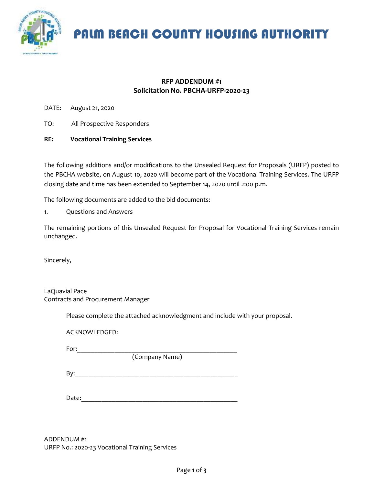

PALM BEACH COUNTY HOUSING AUTHORITY

## **RFP ADDENDUM #1 Solicitation No. PBCHA-URFP-2020-23**

DATE: August 21, 2020

- TO: All Prospective Responders
- **RE: Vocational Training Services**

The following additions and/or modifications to the Unsealed Request for Proposals (URFP) posted to the PBCHA website, on August 10, 2020 will become part of the Vocational Training Services. The URFP closing date and time has been extended to September 14, 2020 until 2:00 p.m.

The following documents are added to the bid documents:

1. Questions and Answers

The remaining portions of this Unsealed Request for Proposal for Vocational Training Services remain unchanged.

Sincerely,

LaQuavial Pace Contracts and Procurement Manager

Please complete the attached acknowledgment and include with your proposal.

ACKNOWLEDGED:

For:\_\_\_\_\_\_\_\_\_\_\_\_\_\_\_\_\_\_\_\_\_\_\_\_\_\_\_\_\_\_\_\_\_\_\_\_\_\_\_\_\_\_\_\_\_\_\_

(Company Name)

By:\_\_\_\_\_\_\_\_\_\_\_\_\_\_\_\_\_\_\_\_\_\_\_\_\_\_\_\_\_\_\_\_\_\_\_\_\_\_\_\_\_\_\_\_\_\_\_\_

Date:

ADDENDUM #1 URFP No.: 2020-23 Vocational Training Services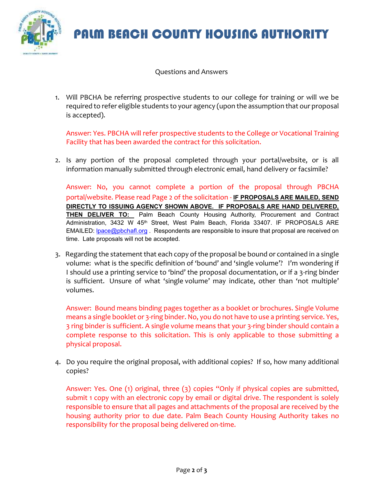

## PALM BEACH COUNTY HOUSING AUTHORITY

Questions and Answers

1. Will PBCHA be referring prospective students to our college for training or will we be required to refer eligible students to your agency (upon the assumption that our proposal is accepted).

Answer: Yes. PBCHA will refer prospective students to the College or Vocational Training Facility that has been awarded the contract for this solicitation.

2. Is any portion of the proposal completed through your portal/website, or is all information manually submitted through electronic email, hand delivery or facsimile?

Answer: No, you cannot complete a portion of the proposal through PBCHA portal/website. Please read Page 2 of the solicitation - **IF PROPOSALS ARE MAILED, SEND DIRECTLY TO ISSUING AGENCY SHOWN ABOVE. IF PROPOSALS ARE HAND DELIVERED, THEN DELIVER TO:** Palm Beach County Housing Authority, Procurement and Contract Administration, 3432 W 45<sup>th</sup> Street, West Palm Beach, Florida 33407. IF PROPOSALS ARE EMAILED: **lpace@pbchafl.org** . Respondents are responsible to insure that proposal are received on time. Late proposals will not be accepted.

3. Regarding the statement that each copy of the proposal be bound or contained in a single volume: what is the specific definition of 'bound' and 'single volume'? I'm wondering if I should use a printing service to 'bind' the proposal documentation, or if a 3-ring binder is sufficient. Unsure of what 'single volume' may indicate, other than 'not multiple' volumes.

Answer: Bound means binding pages together as a booklet or brochures. Single Volume means a single booklet or 3-ring binder. No, you do not have to use a printing service. Yes, 3 ring binder is sufficient. A single volume means that your 3-ring binder should contain a complete response to this solicitation. This is only applicable to those submitting a physical proposal.

4. Do you require the original proposal, with additional copies? If so, how many additional copies?

Answer: Yes. One (1) original, three (3) copies "Only if physical copies are submitted, submit 1 copy with an electronic copy by email or digital drive. The respondent is solely responsible to ensure that all pages and attachments of the proposal are received by the housing authority prior to due date. Palm Beach County Housing Authority takes no responsibility for the proposal being delivered on-time.